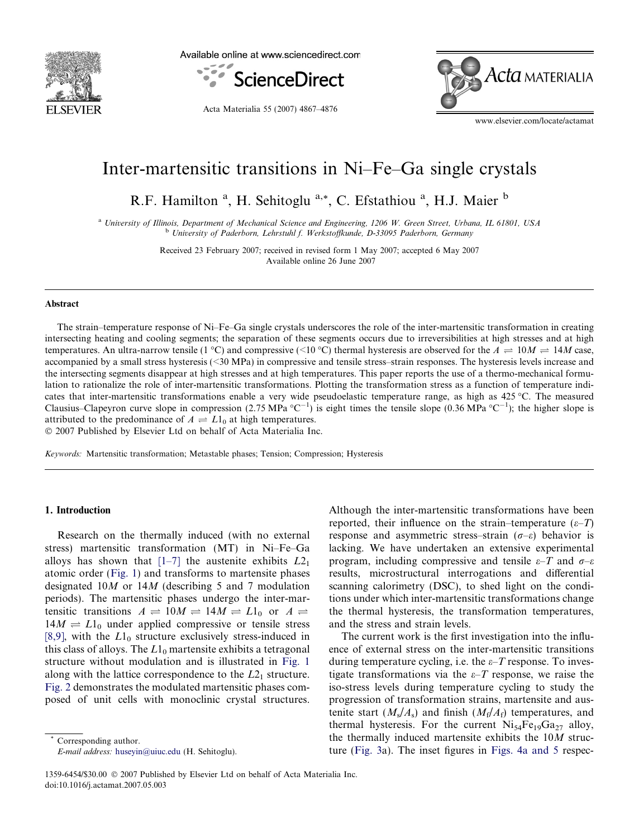

Available online at www.sciencedirect.com



Acta Materialia 55 (2007) 4867–4876

Acta materialia

www.elsevier.com/locate/actamat

# Inter-martensitic transitions in Ni–Fe–Ga single crystals

R.F. Hamilton<sup>a</sup>, H. Sehitoglu<sup>a,\*</sup>, C. Efstathiou<sup>a</sup>, H.J. Maier<sup>b</sup>

<sup>a</sup> University of Illinois, Department of Mechanical Science and Engineering, 1206 W. Green Street, Urbana, IL 61801, USA <sup>b</sup> University of Paderborn, Lehrstuhl f. Werkstoffkunde, D-33095 Paderborn, Germany

> Received 23 February 2007; received in revised form 1 May 2007; accepted 6 May 2007 Available online 26 June 2007

#### Abstract

The strain–temperature response of Ni–Fe–Ga single crystals underscores the role of the inter-martensitic transformation in creating intersecting heating and cooling segments; the separation of these segments occurs due to irreversibilities at high stresses and at high temperatures. An ultra-narrow tensile (1 °C) and compressive (<10 °C) thermal hysteresis are observed for the  $A \rightleftharpoons 10M \rightleftharpoons 14M$  case, accompanied by a small stress hysteresis (<30 MPa) in compressive and tensile stress–strain responses. The hysteresis levels increase and the intersecting segments disappear at high stresses and at high temperatures. This paper reports the use of a thermo-mechanical formulation to rationalize the role of inter-martensitic transformations. Plotting the transformation stress as a function of temperature indicates that inter-martensitic transformations enable a very wide pseudoelastic temperature range, as high as  $425 \degree C$ . The measured Clausius–Clapeyron curve slope in compression (2.75 MPa  ${}^{\circ}C^{-1}$ ) is eight times the tensile slope (0.36 MPa  ${}^{\circ}C^{-1}$ ); the higher slope is attributed to the predominance of  $A \rightleftharpoons L1_0$  at high temperatures. 2007 Published by Elsevier Ltd on behalf of Acta Materialia Inc.

Keywords: Martensitic transformation; Metastable phases; Tension; Compression; Hysteresis

# 1. Introduction

Research on the thermally induced (with no external stress) martensitic transformation (MT) in Ni–Fe–Ga alloys has shown that  $[1-7]$  the austenite exhibits  $L2_1$ atomic order ([Fig. 1\)](#page-1-0) and transforms to martensite phases designated 10M or 14M (describing 5 and 7 modulation periods). The martensitic phases undergo the inter-martensitic transitions  $A \rightleftharpoons 10M \rightleftharpoons 14M \rightleftharpoons L1_0$  or  $A \rightleftharpoons$  $14M \rightleftharpoons L1_0$  under applied compressive or tensile stress [\[8,9\],](#page-8-0) with the  $L1_0$  structure exclusively stress-induced in this class of alloys. The  $L1_0$  martensite exhibits a tetragonal structure without modulation and is illustrated in [Fig. 1](#page-1-0) along with the lattice correspondence to the  $L2<sub>1</sub>$  structure. [Fig. 2](#page-1-0) demonstrates the modulated martensitic phases composed of unit cells with monoclinic crystal structures.

Corresponding author. E-mail address: [huseyin@uiuc.edu](mailto:huseyin@uiuc.edu) (H. Sehitoglu). Although the inter-martensitic transformations have been reported, their influence on the strain–temperature  $(\varepsilon-T)$ response and asymmetric stress–strain ( $\sigma$ – $\varepsilon$ ) behavior is lacking. We have undertaken an extensive experimental program, including compressive and tensile  $\varepsilon$ –T and  $\sigma$ – $\varepsilon$ results, microstructural interrogations and differential scanning calorimetry (DSC), to shed light on the conditions under which inter-martensitic transformations change the thermal hysteresis, the transformation temperatures, and the stress and strain levels.

The current work is the first investigation into the influence of external stress on the inter-martensitic transitions during temperature cycling, i.e. the  $\varepsilon$ -T response. To investigate transformations via the  $\varepsilon$ -T response, we raise the iso-stress levels during temperature cycling to study the progression of transformation strains, martensite and austenite start  $(M_s/A_s)$  and finish  $(M_f/A_f)$  temperatures, and thermal hysteresis. For the current  $Ni_{54}Fe_{19}Ga_{27}$  alloy, the thermally induced martensite exhibits the 10M structure ([Fig. 3a](#page-1-0)). The inset figures in [Figs. 4a and 5](#page-2-0) respec-

<sup>1359-6454/\$30.00</sup> 2007 Published by Elsevier Ltd on behalf of Acta Materialia Inc. doi:10.1016/j.actamat.2007.05.003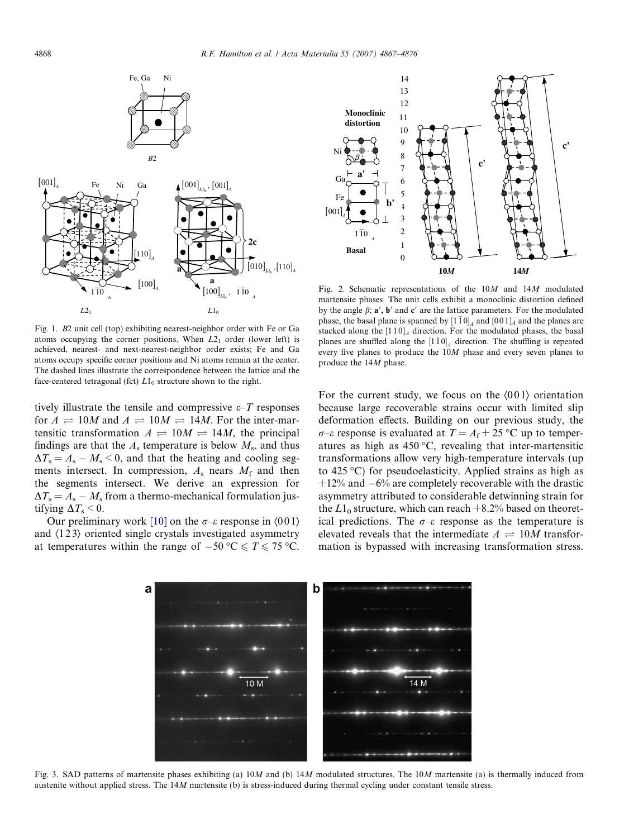<span id="page-1-0"></span>



Fig. 1. B2 unit cell (top) exhibiting nearest-neighbor order with Fe or Ga atoms occupying the corner positions. When  $L2<sub>1</sub>$  order (lower left) is achieved, nearest- and next-nearest-neighbor order exists; Fe and Ga atoms occupy specific corner positions and Ni atoms remain at the center. The dashed lines illustrate the correspondence between the lattice and the face-centered tetragonal (fct)  $L1_0$  structure shown to the right.

tively illustrate the tensile and compressive  $\varepsilon$ –T responses for  $A \rightleftharpoons 10M$  and  $A \rightleftharpoons 10M \rightleftharpoons 14M$ . For the inter-martensitic transformation  $A \rightleftharpoons 10M \rightleftharpoons 14M$ , the principal findings are that the  $A_s$  temperature is below  $M_s$ , and thus  $\Delta T_s = A_s - M_s \leq 0$ , and that the heating and cooling segments intersect. In compression,  $A_s$  nears  $M_f$  and then the segments intersect. We derive an expression for  $\Delta T_s = A_s - M_s$  from a thermo-mechanical formulation justifying  $\Delta T_s \leq 0$ .

Our preliminary work [\[10\]](#page-8-0) on the  $\sigma$ – $\varepsilon$  response in  $\langle 001 \rangle$ and  $\langle 123 \rangle$  oriented single crystals investigated asymmetry at temperatures within the range of  $-50\text{ °C} \leq T \leq 75\text{ °C}$ .

Fig. 2. Schematic representations of the 10M and 14M modulated martensite phases. The unit cells exhibit a monoclinic distortion defined by the angle  $\beta$ ;  $\mathbf{a}'$ ,  $\mathbf{b}'$  and  $\mathbf{c}'$  are the lattice parameters. For the modulated phase, the basal plane is spanned by  $[1\bar{1}0]_A$  and  $[0\bar{0}1]_A$  and the planes are stacked along the  $[110]_4$  direction. For the modulated phases, the basal planes are shuffled along the  $[1\bar{1}0]_A$  direction. The shuffling is repeated every five planes to produce the 10M phase and every seven planes to produce the 14M phase.

For the current study, we focus on the  $\langle 001 \rangle$  orientation because large recoverable strains occur with limited slip deformation effects. Building on our previous study, the  $\sigma$ - $\varepsilon$  response is evaluated at  $T = A_f + 25$  °C up to temperatures as high as  $450^{\circ}$ C, revealing that inter-martensitic transformations allow very high-temperature intervals (up to  $425 \degree C$ ) for pseudoelasticity. Applied strains as high as  $+12\%$  and  $-6\%$  are completely recoverable with the drastic asymmetry attributed to considerable detwinning strain for the  $L1_0$  structure, which can reach  $+8.2\%$  based on theoretical predictions. The  $\sigma$ – $\varepsilon$  response as the temperature is elevated reveals that the intermediate  $A = 10M$  transformation is bypassed with increasing transformation stress.



Fig. 3. SAD patterns of martensite phases exhibiting (a)  $10M$  and (b)  $14M$  modulated structures. The  $10M$  martensite (a) is thermally induced from austenite without applied stress. The 14M martensite (b) is stress-induced during thermal cycling under constant tensile stress.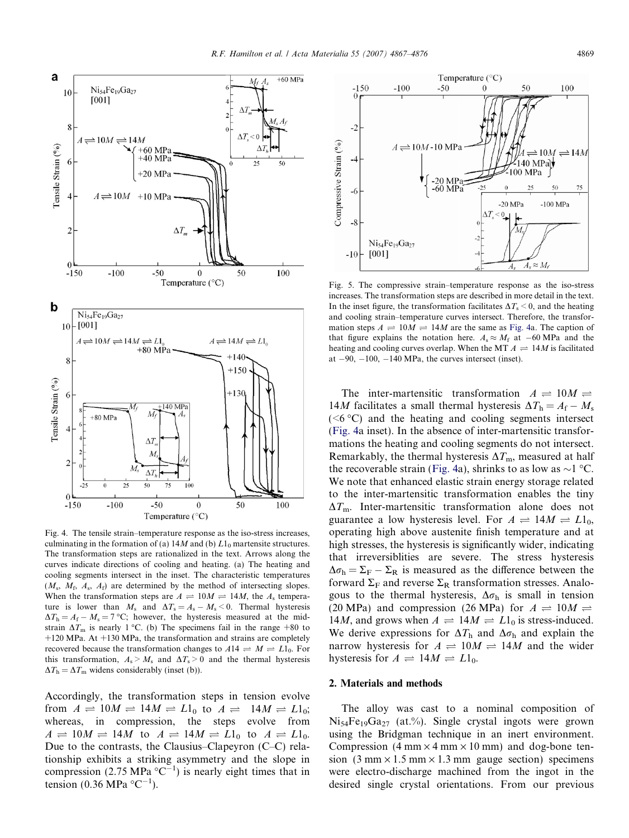<span id="page-2-0"></span>

Fig. 4. The tensile strain–temperature response as the iso-stress increases, culminating in the formation of (a)  $14M$  and (b)  $L1_0$  martensite structures. The transformation steps are rationalized in the text. Arrows along the curves indicate directions of cooling and heating. (a) The heating and cooling segments intersect in the inset. The characteristic temperatures  $(M<sub>s</sub>, M<sub>f</sub>, A<sub>s</sub>, A<sub>f</sub>)$  are determined by the method of intersecting slopes. When the transformation steps are  $A \rightleftharpoons 10M \rightleftharpoons 14M$ , the  $A_s$  temperature is lower than  $M_s$  and  $\Delta T_s = A_s - M_s \leq 0$ . Thermal hysteresis  $\Delta T_{\rm h} = A_{\rm f} - M_{\rm s} = 7$  °C; however, the hysteresis measured at the midstrain  $\Delta T_{\text{m}}$  is nearly 1 °C. (b) The specimens fail in the range +80 to  $+120$  MPa. At  $+130$  MPa, the transformation and strains are completely recovered because the transformation changes to  $A14 \rightleftharpoons M \rightleftharpoons L1_0$ . For this transformation,  $A_s > M_s$  and  $\Delta T_s > 0$  and the thermal hysteresis  $\Delta T_{\rm h} = \Delta T_{\rm m}$  widens considerably (inset (b)).

Accordingly, the transformation steps in tension evolve from  $A \rightleftharpoons 10M \rightleftharpoons 14M \rightleftharpoons L1_0$  to  $A \rightleftharpoons 14M \rightleftharpoons L1_0$ ; whereas, in compression, the steps evolve from  $A \rightleftharpoons 10M \rightleftharpoons 14M$  to  $A \rightleftharpoons 14M \rightleftharpoons L1_0$  to  $A \rightleftharpoons L1_0$ . Due to the contrasts, the Clausius–Clapeyron (C–C) relationship exhibits a striking asymmetry and the slope in compression (2.75 MPa  $^{\circ}C^{-1}$ ) is nearly eight times that in tension (0.36 MPa  $^{\circ}$ C<sup>-1</sup>).



Fig. 5. The compressive strain–temperature response as the iso-stress increases. The transformation steps are described in more detail in the text. In the inset figure, the transformation facilitates  $\Delta T_s \le 0$ , and the heating and cooling strain–temperature curves intersect. Therefore, the transformation steps  $A \rightleftharpoons 10M \rightleftharpoons 14M$  are the same as Fig. 4a. The caption of that figure explains the notation here.  $A_s \approx M_f$  at  $-60$  MPa and the heating and cooling curves overlap. When the MT  $A \rightleftharpoons 14M$  is facilitated at  $-90$ ,  $-100$ ,  $-140$  MPa, the curves intersect (inset).

The inter-martensitic transformation  $A \rightleftharpoons 10M \rightleftharpoons$ 14M facilitates a small thermal hysteresis  $\Delta T_h = A_f - M_s$  $(**6** °C)$  and the heating and cooling segments intersect (Fig. 4a inset). In the absence of inter-martensitic transformations the heating and cooling segments do not intersect. Remarkably, the thermal hysteresis  $\Delta T_{\text{m}}$ , measured at half the recoverable strain (Fig. 4a), shrinks to as low as  $\sim$ 1 °C. We note that enhanced elastic strain energy storage related to the inter-martensitic transformation enables the tiny  $\Delta T_{\text{m}}$ . Inter-martensitic transformation alone does not guarantee a low hysteresis level. For  $A \rightleftharpoons 14M \rightleftharpoons L1_0$ , operating high above austenite finish temperature and at high stresses, the hysteresis is significantly wider, indicating that irreversiblities are severe. The stress hysteresis  $\Delta \sigma_{\rm h} = \Sigma_{\rm F} - \Sigma_{\rm R}$  is measured as the difference between the forward  $\Sigma_F$  and reverse  $\Sigma_R$  transformation stresses. Analogous to the thermal hysteresis,  $\Delta \sigma_h$  is small in tension (20 MPa) and compression (26 MPa) for  $A \rightleftharpoons 10M \rightleftharpoons$ 14*M*, and grows when  $A \rightleftharpoons 14M \rightleftharpoons L1_0$  is stress-induced. We derive expressions for  $\Delta T_h$  and  $\Delta \sigma_h$  and explain the narrow hysteresis for  $A \rightleftharpoons 10M \rightleftharpoons 14M$  and the wider hysteresis for  $A \rightleftharpoons 14M \rightleftharpoons L1_0$ .

# 2. Materials and methods

The alloy was cast to a nominal composition of  $Ni_{54}Fe_{19}Ga_{27}$  (at.%). Single crystal ingots were grown using the Bridgman technique in an inert environment. Compression  $(4 \text{ mm} \times 4 \text{ mm} \times 10 \text{ mm})$  and dog-bone tension  $(3 \text{ mm} \times 1.5 \text{ mm} \times 1.3 \text{ mm})$  gauge section) specimens were electro-discharge machined from the ingot in the desired single crystal orientations. From our previous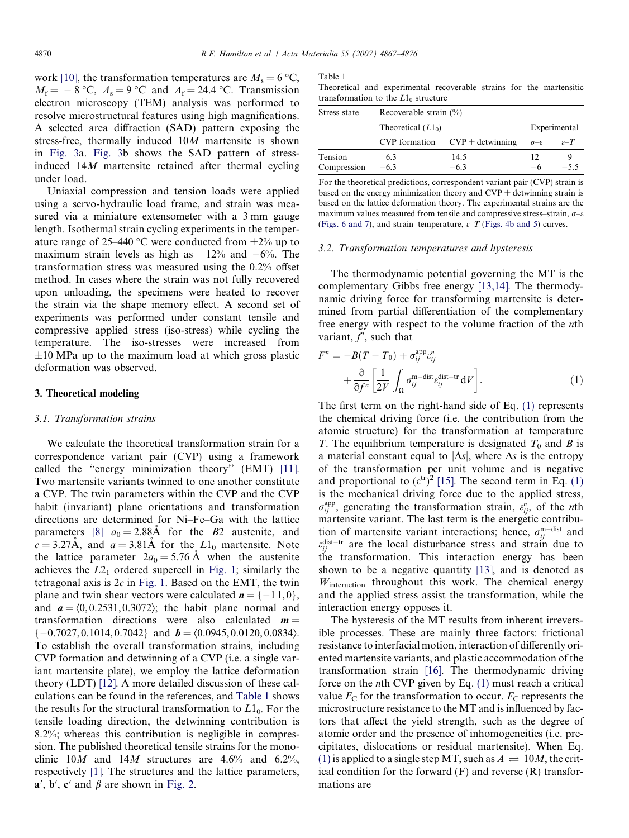<span id="page-3-0"></span>work [\[10\]](#page-8-0), the transformation temperatures are  $M_s = 6 \degree C$ ,  $M_f = -8$  °C,  $A_s = 9$  °C and  $A_f = 24.4$  °C. Transmission electron microscopy (TEM) analysis was performed to resolve microstructural features using high magnifications. A selected area diffraction (SAD) pattern exposing the stress-free, thermally induced 10M martensite is shown in [Fig. 3a](#page-1-0). [Fig. 3](#page-1-0)b shows the SAD pattern of stressinduced 14M martensite retained after thermal cycling under load.

Uniaxial compression and tension loads were applied using a servo-hydraulic load frame, and strain was measured via a miniature extensometer with a 3 mm gauge length. Isothermal strain cycling experiments in the temperature range of 25–440 °C were conducted from  $\pm 2\%$  up to maximum strain levels as high as  $+12\%$  and  $-6\%$ . The transformation stress was measured using the 0.2% offset method. In cases where the strain was not fully recovered upon unloading, the specimens were heated to recover the strain via the shape memory effect. A second set of experiments was performed under constant tensile and compressive applied stress (iso-stress) while cycling the temperature. The iso-stresses were increased from  $\pm 10$  MPa up to the maximum load at which gross plastic deformation was observed.

#### 3. Theoretical modeling

#### 3.1. Transformation strains

We calculate the theoretical transformation strain for a correspondence variant pair (CVP) using a framework called the ''energy minimization theory'' (EMT) [\[11\]](#page-8-0). Two martensite variants twinned to one another constitute a CVP. The twin parameters within the CVP and the CVP habit (invariant) plane orientations and transformation directions are determined for Ni–Fe–Ga with the lattice parameters [\[8\]](#page-8-0)  $a_0 = 2.88$ Å for the B2 austenite, and  $c = 3.27$ Å, and  $a = 3.81$ Å for the  $L1_0$  martensite. Note the lattice parameter  $2a_0 = 5.76$  Å when the austenite achieves the  $L2<sub>1</sub>$  ordered supercell in [Fig. 1;](#page-1-0) similarly the tetragonal axis is  $2c$  in [Fig. 1](#page-1-0). Based on the EMT, the twin plane and twin shear vectors were calculated  $\mathbf{n} = \{-11, 0\},\$ and  $a = \langle 0, 0.2531, 0.3072 \rangle$ ; the habit plane normal and transformation directions were also calculated  $m =$  $\{-0.7027, 0.1014, 0.7042\}$  and  $\boldsymbol{b} = \langle 0.0945, 0.0120, 0.0834 \rangle$ . To establish the overall transformation strains, including CVP formation and detwinning of a CVP (i.e. a single variant martensite plate), we employ the lattice deformation theory (LDT) [\[12\]](#page-8-0). A more detailed discussion of these calculations can be found in the references, and Table 1 shows the results for the structural transformation to  $L1_0$ . For the tensile loading direction, the detwinning contribution is 8.2%; whereas this contribution is negligible in compression. The published theoretical tensile strains for the monoclinic 10M and 14M structures are  $4.6\%$  and  $6.2\%$ , respectively [\[1\]](#page-8-0). The structures and the lattice parameters,  $a'$ ,  $b'$ ,  $c'$  and  $\beta$  are shown in [Fig. 2](#page-1-0).

Table 1

Theoretical and experimental recoverable strains for the martensitic transformation to the  $L1_0$  structure

| Stress state | Recoverable strain $(\%)$ |                                    |                          |                  |
|--------------|---------------------------|------------------------------------|--------------------------|------------------|
|              | Theoretical $(Ll_0)$      |                                    | Experimental             |                  |
|              |                           | $CVP$ formation $CVP$ + detwinning | $\sigma$ - $\varepsilon$ | $\varepsilon$ -T |
| Tension      | 63                        | 14.5                               | 12                       |                  |
| Compression  | $-63$                     | $-63$                              | $-6$                     | $-55$            |

For the theoretical predictions, correspondent variant pair (CVP) strain is based on the energy minimization theory and  $CVP +$  detwinning strain is based on the lattice deformation theory. The experimental strains are the maximum values measured from tensile and compressive stress-strain,  $\sigma$ - $\varepsilon$ [\(Figs. 6 and 7\)](#page-5-0), and strain–temperature,  $\varepsilon$ –T [\(Figs. 4b and 5](#page-2-0)) curves.

# 3.2. Transformation temperatures and hysteresis

The thermodynamic potential governing the MT is the complementary Gibbs free energy [\[13,14\]](#page-8-0). The thermodynamic driving force for transforming martensite is determined from partial differentiation of the complementary free energy with respect to the volume fraction of the nth variant,  $f^n$ , such that

$$
F^{n} = -B(T - T_{0}) + \sigma_{ij}^{\text{app}} \varepsilon_{ij}^{n}
$$

$$
+ \frac{\partial}{\partial f^{n}} \left[ \frac{1}{2V} \int_{\Omega} \sigma_{ij}^{\text{m-dist}} \varepsilon_{ij}^{\text{dist-tr}} dV \right]. \tag{1}
$$

The first term on the right-hand side of Eq. (1) represents the chemical driving force (i.e. the contribution from the atomic structure) for the transformation at temperature T. The equilibrium temperature is designated  $T_0$  and B is a material constant equal to  $|\Delta s|$ , where  $\Delta s$  is the entropy of the transformation per unit volume and is negative and proportional to  $(\varepsilon^{\text{tr}})^2$  [\[15\].](#page-9-0) The second term in Eq. (1) is the mechanical driving force due to the applied stress,  $\sigma_{ij}^{\text{app}}$ , generating the transformation strain,  $\varepsilon_{ij}^{n}$ , of the *n*th martensite variant. The last term is the energetic contribution of martensite variant interactions; hence,  $\sigma_{ij}^{\text{m-dist}}$  and  $\varepsilon_{ij}^{\text{dist-tr}}$  are the local disturbance stress and strain due to the transformation. This interaction energy has been shown to be a negative quantity [\[13\],](#page-8-0) and is denoted as Winteraction throughout this work. The chemical energy and the applied stress assist the transformation, while the interaction energy opposes it.

The hysteresis of the MT results from inherent irreversible processes. These are mainly three factors: frictional resistance to interfacial motion, interaction of differently oriented martensite variants, and plastic accommodation of the transformation strain [\[16\].](#page-9-0) The thermodynamic driving force on the *n*th CVP given by Eq.  $(1)$  must reach a critical value  $F_C$  for the transformation to occur.  $F_C$  represents the microstructure resistance to the MT and is influenced by factors that affect the yield strength, such as the degree of atomic order and the presence of inhomogeneities (i.e. precipitates, dislocations or residual martensite). When Eq. (1) is applied to a single step MT, such as  $A \rightleftharpoons 10M$ , the critical condition for the forward  $(F)$  and reverse  $(R)$  transformations are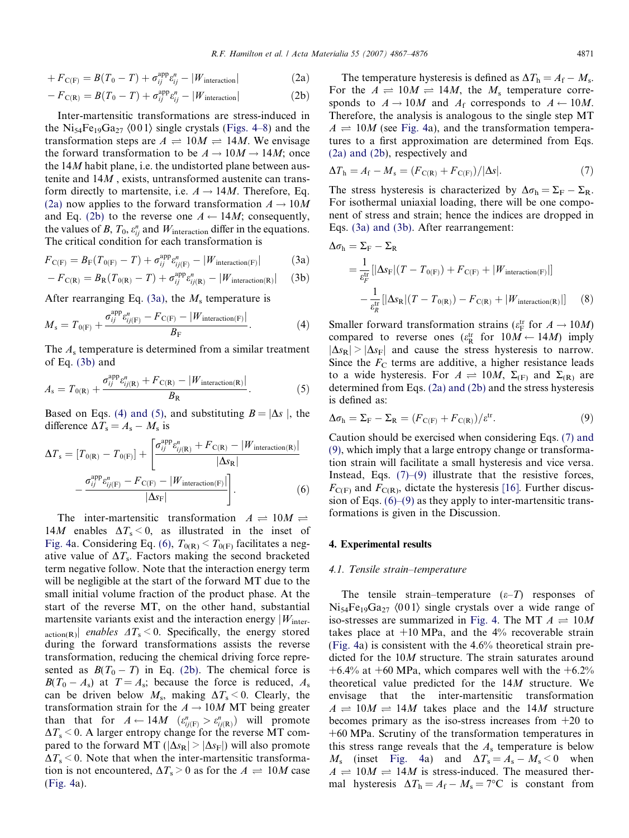<span id="page-4-0"></span>
$$
+ F_{\mathcal{C}(\mathcal{F})} = B(T_0 - T) + \sigma_{ij}^{\text{app}} \varepsilon_{ij}^n - |W_{\text{interaction}}| \tag{2a}
$$

$$
-F_{\mathcal{C}(\mathbb{R})} = B(T_0 - T) + \sigma_{ij}^{\text{app}} \varepsilon_{ij}^n - |W_{\text{interaction}}| \tag{2b}
$$

Inter-martensitic transformations are stress-induced in the Ni<sub>54</sub>Fe<sub>19</sub>Ga<sub>27</sub>  $\langle 001 \rangle$  single crystals [\(Figs. 4–8\)](#page-2-0) and the transformation steps are  $A \rightleftharpoons 10M \rightleftharpoons 14M$ . We envisage the forward transformation to be  $A \rightarrow 10M \rightarrow 14M$ ; once the  $14M$  habit plane, i.e. the undistorted plane between austenite and 14M , exists, untransformed austenite can transform directly to martensite, i.e.  $A \rightarrow 14M$ . Therefore, Eq. (2a) now applies to the forward transformation  $A \rightarrow 10M$ and Eq. (2b) to the reverse one  $A \leftarrow 14M$ ; consequently, the values of B,  $T_0$ ,  $\varepsilon_{ij}^n$  and  $W_{\text{interaction}}$  differ in the equations. The critical condition for each transformation is

$$
F_{\mathcal{C}(\mathcal{F})} = B_{\mathcal{F}}(T_{0(\mathcal{F})} - T) + \sigma_{ij}^{\text{app}} \varepsilon_{ij(\mathcal{F})}^{n} - |W_{\text{interaction}(\mathcal{F})}| \tag{3a}
$$

$$
-F_{\mathcal{C}(\mathcal{R})} = B_{\mathcal{R}}(T_{0(\mathcal{R})} - T) + \sigma_{ij}^{\text{app}} \varepsilon_{ij(\mathcal{R})}^{n} - |W_{\text{interaction}(\mathcal{R})}| \quad (3b)
$$

After rearranging Eq. (3a), the  $M_s$  temperature is

$$
M_{\rm s} = T_{0(F)} + \frac{\sigma_{ij}^{\rm app} \varepsilon_{ij(F)}^n - F_{\rm C(F)} - |W_{\rm interaction(F)}|}{B_{\rm F}}.
$$
 (4)

The  $A_s$  temperature is determined from a similar treatment of Eq. (3b) and

$$
A_{\rm s} = T_{0(\rm R)} + \frac{\sigma_{ij}^{\rm app} e_{ij(\rm R)}^n + F_{\rm C(R)} - |W_{\rm interaction(R)}|}{B_{\rm R}}.
$$
 (5)

Based on Eqs. (4) and (5), and substituting  $B = |\Delta s|$ , the difference  $\Delta T_s = A_s - M_s$  is

$$
\Delta T_{s} = [T_{0(R)} - T_{0(F)}] + \left[ \frac{\sigma_{ij}^{\text{app}} \varepsilon_{ij(R)}^{n} + F_{C(R)} - |W_{\text{interaction}(R)}|}{|\Delta s_{R}|} - \frac{\sigma_{ij}^{\text{app}} \varepsilon_{ij(F)}^{n} - F_{C(F)} - |W_{\text{interaction}(F)}|}{|\Delta s_{F}|} \right].
$$
\n(6)

The inter-martensitic transformation  $A \rightleftharpoons 10M \rightleftharpoons$ 14M enables  $\Delta T_s < 0$ , as illustrated in the inset of [Fig. 4](#page-2-0)a. Considering Eq. (6),  $T_{O(R)} < T_{O(F)}$  facilitates a negative value of  $\Delta T_s$ . Factors making the second bracketed term negative follow. Note that the interaction energy term will be negligible at the start of the forward MT due to the small initial volume fraction of the product phase. At the start of the reverse MT, on the other hand, substantial martensite variants exist and the interaction energy  $|W_{inter}$ action(R) enables  $\Delta T_s \le 0$ . Specifically, the energy stored during the forward transformations assists the reverse transformation, reducing the chemical driving force represented as  $B(T_0 - T)$  in Eq. (2b). The chemical force is  $B(T_0 - A_s)$  at  $T = A_s$ ; because the force is reduced,  $A_s$ can be driven below  $M_s$ , making  $\Delta T_s$  < 0. Clearly, the transformation strain for the  $A \rightarrow 10M$  MT being greater than that for  $A \leftarrow 14M$   $(\varepsilon_{ij(F)}^n > \varepsilon_{ij(R)}^n)$  will promote  $\Delta T_{\rm s}$  < 0. A larger entropy change for the reverse MT compared to the forward MT ( $|\Delta s_{\text{R}}| > |\Delta s_{\text{F}}|$ ) will also promote  $\Delta T_s$  < 0. Note that when the inter-martensitic transformation is not encountered,  $\Delta T_s > 0$  as for the  $A \rightleftharpoons 10M$  case ([Fig. 4](#page-2-0)a).

The temperature hysteresis is defined as  $\Delta T_{\rm h} = A_{\rm f} - M_{\rm s}$ . For the  $A \rightleftharpoons 10M \rightleftharpoons 14M$ , the  $M_s$  temperature corresponds to  $A \rightarrow 10M$  and  $A_f$  corresponds to  $A \leftarrow 10M$ . Therefore, the analysis is analogous to the single step MT  $A \rightleftharpoons 10M$  (see [Fig. 4a](#page-2-0)), and the transformation temperatures to a first approximation are determined from Eqs. (2a) and (2b), respectively and

$$
\Delta T_{\rm h} = A_{\rm f} - M_{\rm s} = (F_{\rm C(R)} + F_{\rm C(F)})/|\Delta s|.
$$
 (7)

The stress hysteresis is characterized by  $\Delta \sigma_{\rm h} = \Sigma_{\rm F} - \Sigma_{\rm R}$ . For isothermal uniaxial loading, there will be one component of stress and strain; hence the indices are dropped in Eqs. (3a) and (3b). After rearrangement:

$$
\Delta \sigma_{\rm h} = \Sigma_{\rm F} - \Sigma_{\rm R}
$$
  
=  $\frac{1}{\varepsilon_{\rm F}^{\rm tr}} [|\Delta s_{\rm F}|(T - T_{0(\rm F)}) + F_{\rm C(F)} + |W_{\rm interaction(F)}|]$   
 $-\frac{1}{\varepsilon_{\rm R}^{\rm tr}} [|\Delta s_{\rm R}|(T - T_{0(\rm R)}) - F_{\rm C(R)} + |W_{\rm interaction(R)}|]$  (8)

Smaller forward transformation strains ( $\varepsilon_{\rm F}^{\rm tr}$  for  $A \to 10M$ ) compared to reverse ones  $(\varepsilon_R^{\text{tr}} \text{ for } 10M \leftarrow 14M)$  imply  $|\Delta s_{\text{R}}| > |\Delta s_{\text{F}}|$  and cause the stress hysteresis to narrow. Since the  $F<sub>C</sub>$  terms are additive, a higher resistance leads to a wide hysteresis. For  $A \rightleftharpoons 10M$ ,  $\Sigma_{(F)}$  and  $\Sigma_{(R)}$  are determined from Eqs. (2a) and (2b) and the stress hysteresis is defined as:

$$
\Delta \sigma_{\rm h} = \Sigma_{\rm F} - \Sigma_{\rm R} = (F_{\rm C(F)} + F_{\rm C(R)}) / \varepsilon^{\rm tr}.
$$
\n(9)

Caution should be exercised when considering Eqs. (7) and (9), which imply that a large entropy change or transformation strain will facilitate a small hysteresis and vice versa. Instead, Eqs.  $(7)$ – $(9)$  illustrate that the resistive forces,  $F_{\text{C}(F)}$  and  $F_{\text{C}(R)}$ , dictate the hysteresis [\[16\]](#page-9-0). Further discussion of Eqs.  $(6)$ – $(9)$  as they apply to inter-martensitic transformations is given in the Discussion.

# 4. Experimental results

# 4.1. Tensile strain–temperature

The tensile strain–temperature  $(\varepsilon-T)$  responses of  $Ni_{54}Fe_{19}Ga_{27}$   $\langle 001 \rangle$  single crystals over a wide range of iso-stresses are summarized in [Fig. 4.](#page-2-0) The MT  $A \rightleftharpoons 10M$ takes place at  $+10 \text{ MPa}$ , and the  $4\%$  recoverable strain ([Fig. 4](#page-2-0)a) is consistent with the 4.6% theoretical strain predicted for the 10M structure. The strain saturates around +6.4% at +60 MPa, which compares well with the  $+6.2%$ theoretical value predicted for the 14M structure. We envisage that the inter-martensitic transformation  $A \rightleftharpoons 10M \rightleftharpoons 14M$  takes place and the 14M structure becomes primary as the iso-stress increases from +20 to +60 MPa. Scrutiny of the transformation temperatures in this stress range reveals that the  $A_s$  temperature is below  $M_s$  (inset [Fig. 4](#page-2-0)a) and  $\Delta T_s = A_s - M_s < 0$  when  $A \rightleftharpoons 10M \rightleftharpoons 14M$  is stress-induced. The measured thermal hysteresis  $\Delta T_h = A_f - M_s = 7$ °C is constant from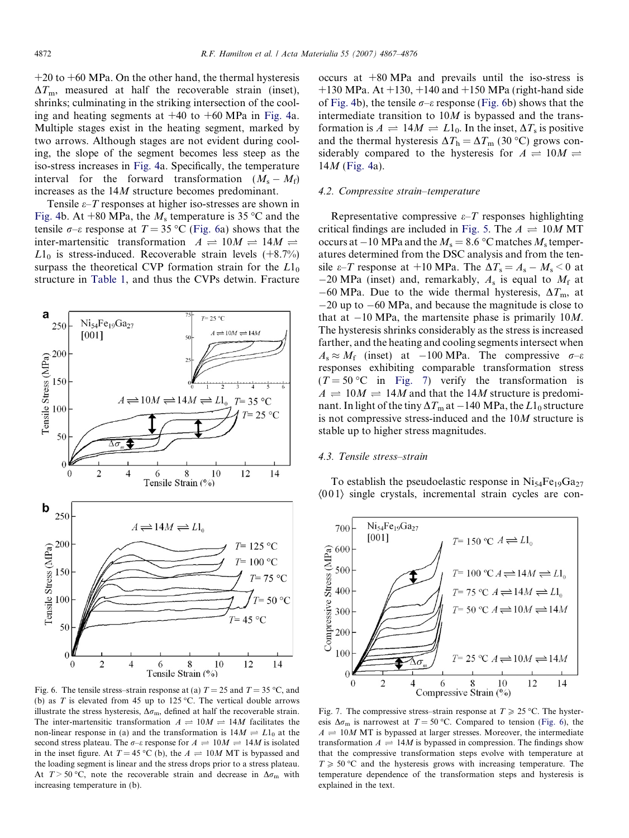<span id="page-5-0"></span> $+20$  to  $+60$  MPa. On the other hand, the thermal hysteresis  $\Delta T_{\text{m}}$ , measured at half the recoverable strain (inset), shrinks; culminating in the striking intersection of the cooling and heating segments at  $+40$  to  $+60$  MPa in [Fig. 4](#page-2-0)a. Multiple stages exist in the heating segment, marked by two arrows. Although stages are not evident during cooling, the slope of the segment becomes less steep as the iso-stress increases in [Fig. 4a](#page-2-0). Specifically, the temperature interval for the forward transformation  $(M_s - M_f)$ increases as the 14M structure becomes predominant.

Tensile  $\varepsilon$ –*T* responses at higher iso-stresses are shown in [Fig. 4b](#page-2-0). At  $+80$  MPa, the  $M_s$  temperature is 35 °C and the tensile  $\sigma$ – $\varepsilon$  response at  $T = 35$  °C (Fig. 6a) shows that the inter-martensitic transformation  $A \rightleftharpoons 10M \rightleftharpoons 14M \rightleftharpoons$  $L1_0$  is stress-induced. Recoverable strain levels (+8.7%) surpass the theoretical CVP formation strain for the  $L1_0$ structure in [Table 1](#page-3-0), and thus the CVPs detwin. Fracture



Fig. 6. The tensile stress–strain response at (a)  $T = 25$  and  $T = 35$  °C, and (b) as T is elevated from 45 up to 125 °C. The vertical double arrows illustrate the stress hysteresis,  $\Delta\sigma_m$ , defined at half the recoverable strain. The inter-martensitic transformation  $A \rightleftharpoons 10M \rightleftharpoons 14M$  facilitates the non-linear response in (a) and the transformation is  $14M \rightleftharpoons L1_0$  at the second stress plateau. The  $\sigma$ - $\varepsilon$  response for  $A \rightleftharpoons 10M \rightleftharpoons 14M$  is isolated in the inset figure. At  $T = 45 \degree C$  (b), the  $A \rightleftharpoons 10M$  MT is bypassed and the loading segment is linear and the stress drops prior to a stress plateau. At  $T > 50$  °C, note the recoverable strain and decrease in  $\Delta \sigma_m$  with increasing temperature in (b).

occurs at +80 MPa and prevails until the iso-stress is  $+130$  MPa. At  $+130$ ,  $+140$  and  $+150$  MPa (right-hand side of [Fig. 4](#page-2-0)b), the tensile  $\sigma$ – $\varepsilon$  response (Fig. 6b) shows that the intermediate transition to  $10M$  is bypassed and the transformation is  $A \rightleftharpoons 14M \rightleftharpoons L1_0$ . In the inset,  $\Delta T_s$  is positive and the thermal hysteresis  $\Delta T_{\rm h} = \Delta T_{\rm m}$  (30 °C) grows considerably compared to the hysteresis for  $A \rightleftharpoons 10M \rightleftharpoons$  $14M$  [\(Fig. 4a](#page-2-0)).

#### 4.2. Compressive strain–temperature

Representative compressive  $\varepsilon$ –T responses highlighting critical findings are included in [Fig. 5](#page-2-0). The  $A \rightleftharpoons 10M MT$ occurs at  $-10$  MPa and the  $M_s = 8.6$  °C matches  $M_s$  temperatures determined from the DSC analysis and from the tensile  $\varepsilon$ -*T* response at +10 MPa. The  $\Delta T_s = A_s - M_s$  < 0 at  $-20$  MPa (inset) and, remarkably,  $A_s$  is equal to  $M_f$  at  $-60$  MPa. Due to the wide thermal hysteresis,  $\Delta T_{\text{m}}$ , at  $-20$  up to  $-60$  MPa, and because the magnitude is close to that at  $-10$  MPa, the martensite phase is primarily 10*M*. The hysteresis shrinks considerably as the stress is increased farther, and the heating and cooling segments intersect when  $A_s \approx M_f$  (inset) at -100 MPa. The compressive  $\sigma$ - $\varepsilon$ responses exhibiting comparable transformation stress  $(T = 50 \degree C$  in Fig. 7) verify the transformation is  $A \rightleftharpoons 10M \rightleftharpoons 14M$  and that the 14M structure is predominant. In light of the tiny  $\Delta T_{\rm m}$  at  $-140$  MPa, the  $L1_0$  structure is not compressive stress-induced and the 10M structure is stable up to higher stress magnitudes.

# 4.3. Tensile stress–strain

To establish the pseudoelastic response in  $Ni_{54}Fe_{19}Ga_{27}$  $(001)$  single crystals, incremental strain cycles are con-



Fig. 7. The compressive stress–strain response at  $T \ge 25$  °C. The hysteresis  $\Delta \sigma_m$  is narrowest at  $T = 50$  °C. Compared to tension (Fig. 6), the  $A = 10M MT$  is bypassed at larger stresses. Moreover, the intermediate transformation  $A \rightleftharpoons 14M$  is bypassed in compression. The findings show that the compressive transformation steps evolve with temperature at  $T \ge 50$  °C and the hysteresis grows with increasing temperature. The temperature dependence of the transformation steps and hysteresis is explained in the text.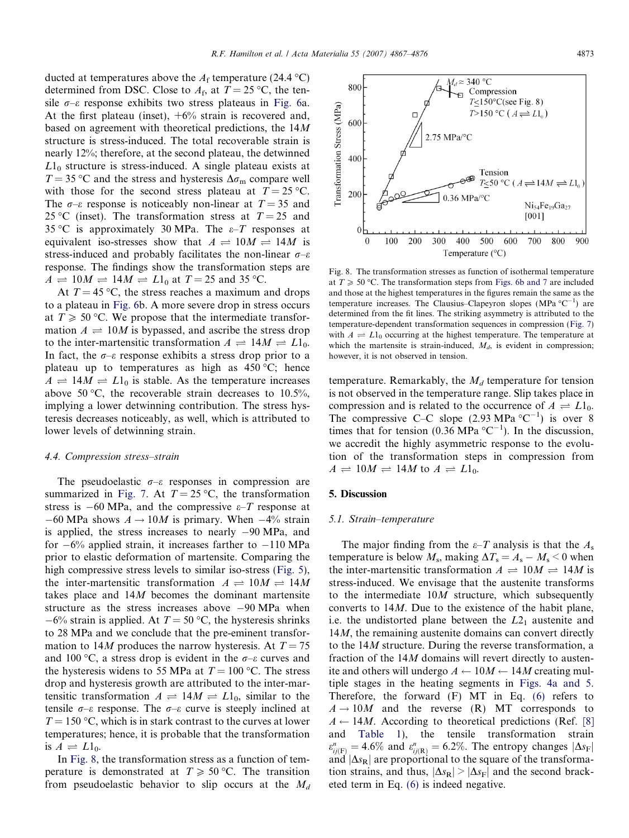<span id="page-6-0"></span>ducted at temperatures above the  $A_{\rm f}$  temperature (24.4 °C) determined from DSC. Close to  $A_f$ , at  $T = 25 \degree C$ , the tensile  $\sigma$ – $\varepsilon$  response exhibits two stress plateaus in [Fig. 6a](#page-5-0). At the first plateau (inset),  $+6\%$  strain is recovered and, based on agreement with theoretical predictions, the 14M structure is stress-induced. The total recoverable strain is nearly 12%; therefore, at the second plateau, the detwinned  $L1_0$  structure is stress-induced. A single plateau exists at  $T = 35 \degree C$  and the stress and hysteresis  $\Delta \sigma_{\rm m}$  compare well with those for the second stress plateau at  $T = 25 \degree C$ . The  $\sigma$ – $\varepsilon$  response is noticeably non-linear at  $T = 35$  and 25 °C (inset). The transformation stress at  $T = 25$  and 35 °C is approximately 30 MPa. The  $\varepsilon$ -T responses at equivalent iso-stresses show that  $A \rightleftharpoons 10M \rightleftharpoons 14M$  is stress-induced and probably facilitates the non-linear  $\sigma$ – $\varepsilon$ response. The findings show the transformation steps are  $A \rightleftharpoons 10M \rightleftharpoons 14M \rightleftharpoons L1_0$  at  $T = 25$  and 35 °C.

At  $T = 45$  °C, the stress reaches a maximum and drops to a plateau in [Fig. 6b](#page-5-0). A more severe drop in stress occurs at  $T \geqslant 50$  °C. We propose that the intermediate transformation  $A \rightleftharpoons 10M$  is bypassed, and ascribe the stress drop to the inter-martensitic transformation  $A \rightleftharpoons 14M \rightleftharpoons L1_0$ . In fact, the  $\sigma$ – $\varepsilon$  response exhibits a stress drop prior to a plateau up to temperatures as high as  $450 \degree C$ ; hence  $A \rightleftharpoons 14M \rightleftharpoons L1_0$  is stable. As the temperature increases above 50 °C, the recoverable strain decreases to 10.5%, implying a lower detwinning contribution. The stress hysteresis decreases noticeably, as well, which is attributed to lower levels of detwinning strain.

# 4.4. Compression stress–strain

The pseudoelastic  $\sigma$ – $\varepsilon$  responses in compression are summarized in [Fig. 7](#page-5-0). At  $T = 25 \degree C$ , the transformation stress is  $-60 \text{ MPa}$ , and the compressive  $\varepsilon$ -T response at  $-60$  MPa shows  $A \rightarrow 10M$  is primary. When  $-4\%$  strain is applied, the stress increases to nearly -90 MPa, and for  $-6\%$  applied strain, it increases farther to  $-110 \text{ MPa}$ prior to elastic deformation of martensite. Comparing the high compressive stress levels to similar iso-stress [\(Fig. 5\)](#page-2-0), the inter-martensitic transformation  $A \rightleftharpoons 10M \rightleftharpoons 14M$ takes place and 14M becomes the dominant martensite structure as the stress increases above -90 MPa when  $-6\%$  strain is applied. At  $T = 50$  °C, the hysteresis shrinks to 28 MPa and we conclude that the pre-eminent transformation to 14M produces the narrow hysteresis. At  $T = 75$ and 100 °C, a stress drop is evident in the  $\sigma$ - $\varepsilon$  curves and the hysteresis widens to 55 MPa at  $T = 100$  °C. The stress drop and hysteresis growth are attributed to the inter-martensitic transformation  $A \rightleftharpoons 14M \rightleftharpoons L1_0$ , similar to the tensile  $\sigma$ – $\varepsilon$  response. The  $\sigma$ – $\varepsilon$  curve is steeply inclined at  $T = 150$  °C, which is in stark contrast to the curves at lower temperatures; hence, it is probable that the transformation is  $A \rightleftharpoons L1_0$ .

In Fig. 8, the transformation stress as a function of temperature is demonstrated at  $T \ge 50$  °C. The transition from pseudoelastic behavior to slip occurs at the  $M_d$ 

Fig. 8. The transformation stresses as function of isothermal temperature at  $T \geq 50$  °C. The transformation steps from [Figs. 6b and 7](#page-5-0) are included and those at the highest temperatures in the figures remain the same as the temperature increases. The Clausius–Clapeyron slopes (MPa  $^{\circ}C^{-1}$ ) are determined from the fit lines. The striking asymmetry is attributed to the temperature-dependent transformation sequences in compression ([Fig. 7\)](#page-5-0) with  $A = L1_0$  occurring at the highest temperature. The temperature at which the martensite is strain-induced,  $M_d$ , is evident in compression; however, it is not observed in tension.

temperature. Remarkably, the  $M_d$  temperature for tension is not observed in the temperature range. Slip takes place in compression and is related to the occurrence of  $A \rightleftharpoons L1_0$ . The compressive C–C slope  $(2.93 \text{ MPa} \text{ }^{\circ}\text{C}^{-1})$  is over 8 times that for tension (0.36 MPa  ${}^{\circ}C^{-1}$ ). In the discussion, we accredit the highly asymmetric response to the evolution of the transformation steps in compression from  $A \rightleftharpoons 10M \rightleftharpoons 14M$  to  $A \rightleftharpoons L1_0$ .

#### 5. Discussion

#### 5.1. Strain–temperature

The major finding from the  $\varepsilon$ -T analysis is that the  $A_s$ temperature is below  $M_s$ , making  $\Delta T_s = A_s - M_s \leq 0$  when the inter-martensitic transformation  $A \rightleftharpoons 10M \rightleftharpoons 14M$  is stress-induced. We envisage that the austenite transforms to the intermediate 10M structure, which subsequently converts to 14M. Due to the existence of the habit plane, i.e. the undistorted plane between the  $L2<sub>1</sub>$  austenite and 14*M*, the remaining austenite domains can convert directly to the 14M structure. During the reverse transformation, a fraction of the 14M domains will revert directly to austenite and others will undergo  $A \leftarrow 10M \leftarrow 14M$  creating multiple stages in the heating segments in [Figs. 4a and 5.](#page-2-0) Therefore, the forward (F) MT in Eq. [\(6\)](#page-4-0) refers to  $A \rightarrow 10M$  and the reverse (R) MT corresponds to  $A \leftarrow 14M$ . According to theoretical predictions (Ref. [\[8\]](#page-8-0) and [Table 1](#page-3-0)), the tensile transformation strain  $\varepsilon_{ij(F)}^n = 4.6\%$  and  $\varepsilon_{ij(R)}^n = 6.2\%.$  The entropy changes  $|\Delta s_F|$ and  $|\Delta s_{\text{R}}|$  are proportional to the square of the transformation strains, and thus,  $|\Delta s_{\text{R}}| > |\Delta s_{\text{F}}|$  and the second bracketed term in Eq. [\(6\)](#page-4-0) is indeed negative.

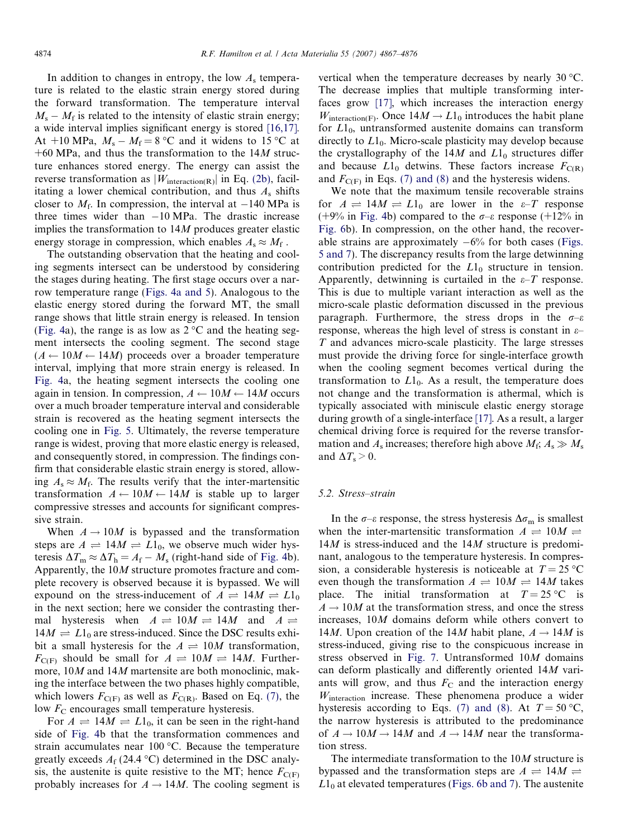In addition to changes in entropy, the low  $A_s$  temperature is related to the elastic strain energy stored during the forward transformation. The temperature interval  $M_s - M_f$  is related to the intensity of elastic strain energy; a wide interval implies significant energy is stored [\[16,17\]](#page-9-0). At  $+10$  MPa,  $M_s - M_f = 8$  °C and it widens to 15 °C at  $+60$  MPa, and thus the transformation to the 14M structure enhances stored energy. The energy can assist the reverse transformation as  $|W_{\text{interaction(R)}}|$  in Eq. (2b), facilitating a lower chemical contribution, and thus  $A_s$  shifts closer to  $M_f$ . In compression, the interval at  $-140$  MPa is three times wider than  $-10$  MPa. The drastic increase implies the transformation to 14M produces greater elastic energy storage in compression, which enables  $A_s \approx M_f$ .

The outstanding observation that the heating and cooling segments intersect can be understood by considering the stages during heating. The first stage occurs over a narrow temperature range ([Figs. 4a and 5\)](#page-2-0). Analogous to the elastic energy stored during the forward MT, the small range shows that little strain energy is released. In tension [\(Fig. 4a](#page-2-0)), the range is as low as  $2^{\circ}$ C and the heating segment intersects the cooling segment. The second stage  $(A \leftarrow 10M \leftarrow 14M)$  proceeds over a broader temperature interval, implying that more strain energy is released. In [Fig. 4](#page-2-0)a, the heating segment intersects the cooling one again in tension. In compression,  $A \leftarrow 10M \leftarrow 14M$  occurs over a much broader temperature interval and considerable strain is recovered as the heating segment intersects the cooling one in [Fig. 5.](#page-2-0) Ultimately, the reverse temperature range is widest, proving that more elastic energy is released, and consequently stored, in compression. The findings confirm that considerable elastic strain energy is stored, allowing  $A_s \approx M_f$ . The results verify that the inter-martensitic transformation  $A \leftarrow 10M \leftarrow 14M$  is stable up to larger compressive stresses and accounts for significant compressive strain.

When  $A \rightarrow 10M$  is bypassed and the transformation steps are  $A \rightleftharpoons 14M \rightleftharpoons L1_0$ , we observe much wider hysteresis  $\Delta T_{\rm m} \approx \Delta T_{\rm h} = A_{\rm f} - M_{\rm s}$  (right-hand side of [Fig. 4](#page-2-0)b). Apparently, the 10M structure promotes fracture and complete recovery is observed because it is bypassed. We will expound on the stress-inducement of  $A \rightleftharpoons 14M \rightleftharpoons L1_0$ in the next section; here we consider the contrasting thermal hysteresis when  $A \rightleftharpoons 10M \rightleftharpoons 14M$  and  $A \rightleftharpoons$  $14M \rightleftharpoons L1_0$  are stress-induced. Since the DSC results exhibit a small hysteresis for the  $A \rightleftharpoons 10M$  transformation,  $F_{\text{C}(F)}$  should be small for  $A \rightleftharpoons 10M \rightleftharpoons 14M$ . Furthermore, 10M and 14M martensite are both monoclinic, making the interface between the two phases highly compatible, which lowers  $F_{\text{C}(F)}$  as well as  $F_{\text{C}(R)}$ . Based on Eq. [\(7\)](#page-4-0), the low  $F<sub>C</sub>$  encourages small temperature hysteresis.

For  $A = 14M \rightleftharpoons L1_0$ , it can be seen in the right-hand side of [Fig. 4b](#page-2-0) that the transformation commences and strain accumulates near  $100\,^{\circ}\text{C}$ . Because the temperature greatly exceeds  $A_f$  (24.4 °C) determined in the DSC analysis, the austenite is quite resistive to the MT; hence  $F_{\text{C}(F)}$ probably increases for  $A \rightarrow 14M$ . The cooling segment is

vertical when the temperature decreases by nearly 30  $\degree$ C. The decrease implies that multiple transforming interfaces grow [\[17\],](#page-9-0) which increases the interaction energy  $W_{\text{interaction}(F)}$ . Once  $14M \rightarrow L1_0$  introduces the habit plane for  $L1_0$ , untransformed austenite domains can transform directly to  $L1_0$ . Micro-scale plasticity may develop because the crystallography of the  $14M$  and  $L1_0$  structures differ and because  $L1_0$  detwins. These factors increase  $F_{C(R)}$ and  $F_{C(F)}$  in Eqs. [\(7\) and \(8\)](#page-4-0) and the hysteresis widens.

We note that the maximum tensile recoverable strains for  $A = 14M \rightleftharpoons L1_0$  are lower in the  $\varepsilon$ -T response (+9% in [Fig. 4b](#page-2-0)) compared to the  $\sigma$ – $\varepsilon$  response (+12% in [Fig. 6](#page-5-0)b). In compression, on the other hand, the recoverable strains are approximately  $-6\%$  for both cases ([Figs.](#page-2-0) [5 and 7\)](#page-2-0). The discrepancy results from the large detwinning contribution predicted for the  $L1_0$  structure in tension. Apparently, detwinning is curtailed in the  $\varepsilon$ -T response. This is due to multiple variant interaction as well as the micro-scale plastic deformation discussed in the previous paragraph. Furthermore, the stress drops in the  $\sigma-\varepsilon$ response, whereas the high level of stress is constant in  $\varepsilon$ – T and advances micro-scale plasticity. The large stresses must provide the driving force for single-interface growth when the cooling segment becomes vertical during the transformation to  $L1_0$ . As a result, the temperature does not change and the transformation is athermal, which is typically associated with miniscule elastic energy storage during growth of a single-interface [\[17\].](#page-9-0) As a result, a larger chemical driving force is required for the reverse transformation and  $A_s$  increases; therefore high above  $M_f$ ;  $A_s \gg M_s$ and  $\Delta T_s > 0$ .

# 5.2. Stress–strain

In the  $\sigma$ – $\varepsilon$  response, the stress hysteresis  $\Delta \sigma_{\rm m}$  is smallest when the inter-martensitic transformation  $A \rightleftharpoons 10M \rightleftharpoons$ 14*M* is stress-induced and the 14*M* structure is predominant, analogous to the temperature hysteresis. In compression, a considerable hysteresis is noticeable at  $T = 25$  °C even though the transformation  $A \rightleftharpoons 10M \rightleftharpoons 14M$  takes place. The initial transformation at  $T = 25 \degree C$  is  $A \rightarrow 10M$  at the transformation stress, and once the stress increases, 10M domains deform while others convert to 14*M*. Upon creation of the 14*M* habit plane,  $A \rightarrow 14M$  is stress-induced, giving rise to the conspicuous increase in stress observed in [Fig. 7.](#page-5-0) Untransformed 10M domains can deform plastically and differently oriented 14M variants will grow, and thus  $F<sub>C</sub>$  and the interaction energy Winteraction increase. These phenomena produce a wider hysteresis according to Eqs. [\(7\) and \(8\).](#page-4-0) At  $T = 50 \degree C$ , the narrow hysteresis is attributed to the predominance of  $A \rightarrow 10M \rightarrow 14M$  and  $A \rightarrow 14M$  near the transformation stress.

The intermediate transformation to the 10M structure is bypassed and the transformation steps are  $A \rightleftharpoons 14M \rightleftharpoons$  $L1_0$  at elevated temperatures [\(Figs. 6b and 7\)](#page-5-0). The austenite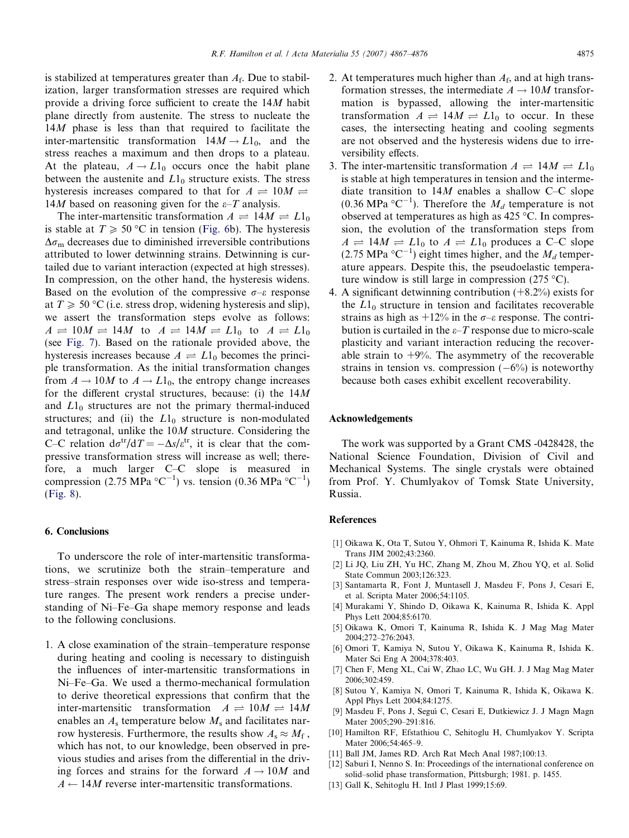<span id="page-8-0"></span>is stabilized at temperatures greater than  $A_f$ . Due to stabilization, larger transformation stresses are required which provide a driving force sufficient to create the 14M habit plane directly from austenite. The stress to nucleate the 14M phase is less than that required to facilitate the inter-martensitic transformation  $14M \rightarrow L1_0$ , and the stress reaches a maximum and then drops to a plateau. At the plateau,  $A \rightarrow L1_0$  occurs once the habit plane between the austenite and  $L1_0$  structure exists. The stress hysteresis increases compared to that for  $A \rightleftharpoons 10M \rightleftharpoons$ 14*M* based on reasoning given for the  $\varepsilon$ -*T* analysis.

The inter-martensitic transformation  $A \rightleftharpoons 14M \rightleftharpoons L1_0$ is stable at  $T \ge 50$  °C in tension ([Fig. 6](#page-5-0)b). The hysteresis  $\Delta\sigma_{\rm m}$  decreases due to diminished irreversible contributions attributed to lower detwinning strains. Detwinning is curtailed due to variant interaction (expected at high stresses). In compression, on the other hand, the hysteresis widens. Based on the evolution of the compressive  $\sigma$ – $\varepsilon$  response at  $T \geq 50$  °C (i.e. stress drop, widening hysteresis and slip), we assert the transformation steps evolve as follows:  $A \rightleftharpoons 10M \rightleftharpoons 14M$  to  $A \rightleftharpoons 14M \rightleftharpoons L1_0$  to  $A \rightleftharpoons L1_0$ (see [Fig. 7](#page-5-0)). Based on the rationale provided above, the hysteresis increases because  $A \rightleftharpoons L1_0$  becomes the principle transformation. As the initial transformation changes from  $A \rightarrow 10M$  to  $A \rightarrow L1_0$ , the entropy change increases for the different crystal structures, because: (i) the 14M and  $L1_0$  structures are not the primary thermal-induced structures; and (ii) the  $L1_0$  structure is non-modulated and tetragonal, unlike the 10M structure. Considering the C–C relation  $d\sigma^{tr}/dT = -\Delta s/\varepsilon^{tr}$ , it is clear that the compressive transformation stress will increase as well; therefore, a much larger C–C slope is measured in compression (2.75 MPa  $^{\circ}$ C<sup>-1</sup>) vs. tension (0.36 MPa  $^{\circ}$ C<sup>-1</sup>) ([Fig. 8](#page-6-0)).

# 6. Conclusions

To underscore the role of inter-martensitic transformations, we scrutinize both the strain–temperature and stress–strain responses over wide iso-stress and temperature ranges. The present work renders a precise understanding of Ni–Fe–Ga shape memory response and leads to the following conclusions.

1. A close examination of the strain–temperature response during heating and cooling is necessary to distinguish the influences of inter-martensitic transformations in Ni–Fe–Ga. We used a thermo-mechanical formulation to derive theoretical expressions that confirm that the inter-martensitic transformation  $A \rightleftharpoons 10M \rightleftharpoons 14M$ enables an  $A_s$  temperature below  $M_s$  and facilitates narrow hysteresis. Furthermore, the results show  $A_s \approx M_f$ , which has not, to our knowledge, been observed in previous studies and arises from the differential in the driving forces and strains for the forward  $A \rightarrow 10M$  and  $A \leftarrow 14M$  reverse inter-martensitic transformations.

- 2. At temperatures much higher than  $A_f$ , and at high transformation stresses, the intermediate  $A \rightarrow 10M$  transformation is bypassed, allowing the inter-martensitic transformation  $A \rightleftharpoons 14M \rightleftharpoons L1_0$  to occur. In these cases, the intersecting heating and cooling segments are not observed and the hysteresis widens due to irreversibility effects.
- 3. The inter-martensitic transformation  $A \rightleftharpoons 14M \rightleftharpoons L1_0$ is stable at high temperatures in tension and the intermediate transition to  $14M$  enables a shallow C–C slope (0.36 MPa  ${}^{\circ}C^{-1}$ ). Therefore the  $M_d$  temperature is not observed at temperatures as high as  $425 \degree C$ . In compression, the evolution of the transformation steps from  $A \rightleftharpoons 14M \rightleftharpoons L1_0$  to  $A \rightleftharpoons L1_0$  produces a C–C slope (2.75 MPa  $^{\circ}$ C<sup>-1</sup>) eight times higher, and the  $M_d$  temperature appears. Despite this, the pseudoelastic temperature window is still large in compression  $(275 \text{ °C})$ .
- 4. A significant detwinning contribution (+8.2%) exists for the  $L1_0$  structure in tension and facilitates recoverable strains as high as  $+12\%$  in the  $\sigma$ – $\varepsilon$  response. The contribution is curtailed in the  $\varepsilon$ –*T* response due to micro-scale plasticity and variant interaction reducing the recoverable strain to  $+9\%$ . The asymmetry of the recoverable strains in tension vs. compression  $(-6%)$  is noteworthy because both cases exhibit excellent recoverability.

## Acknowledgements

The work was supported by a Grant CMS -0428428, the National Science Foundation, Division of Civil and Mechanical Systems. The single crystals were obtained from Prof. Y. Chumlyakov of Tomsk State University, Russia.

#### References

- [1] Oikawa K, Ota T, Sutou Y, Ohmori T, Kainuma R, Ishida K. Mate Trans JIM 2002;43:2360.
- [2] Li JQ, Liu ZH, Yu HC, Zhang M, Zhou M, Zhou YQ, et al. Solid State Commun 2003;126:323.
- [3] Santamarta R, Font J, Muntasell J, Masdeu F, Pons J, Cesari E, et al. Scripta Mater 2006;54:1105.
- [4] Murakami Y, Shindo D, Oikawa K, Kainuma R, Ishida K. Appl Phys Lett 2004;85:6170.
- [5] Oikawa K, Omori T, Kainuma R, Ishida K. J Mag Mag Mater 2004;272–276:2043.
- [6] Omori T, Kamiya N, Sutou Y, Oikawa K, Kainuma R, Ishida K. Mater Sci Eng A 2004;378:403.
- [7] Chen F, Meng XL, Cai W, Zhao LC, Wu GH. J. J Mag Mag Mater 2006;302:459.
- [8] Sutou Y, Kamiya N, Omori T, Kainuma R, Ishida K, Oikawa K. Appl Phys Lett 2004;84:1275.
- [9] Masdeu F, Pons J, Seguí C, Cesari E, Dutkiewicz J. J Magn Magn Mater 2005;290–291:816.
- [10] Hamilton RF, Efstathiou C, Sehitoglu H, Chumlyakov Y. Scripta Mater 2006;54:465–9.
- [11] Ball JM, James RD. Arch Rat Mech Anal 1987;100:13.
- [12] Saburi I, Nenno S. In: Proceedings of the international conference on solid–solid phase transformation, Pittsburgh; 1981. p. 1455.
- [13] Gall K, Sehitoglu H. Intl J Plast 1999;15:69.